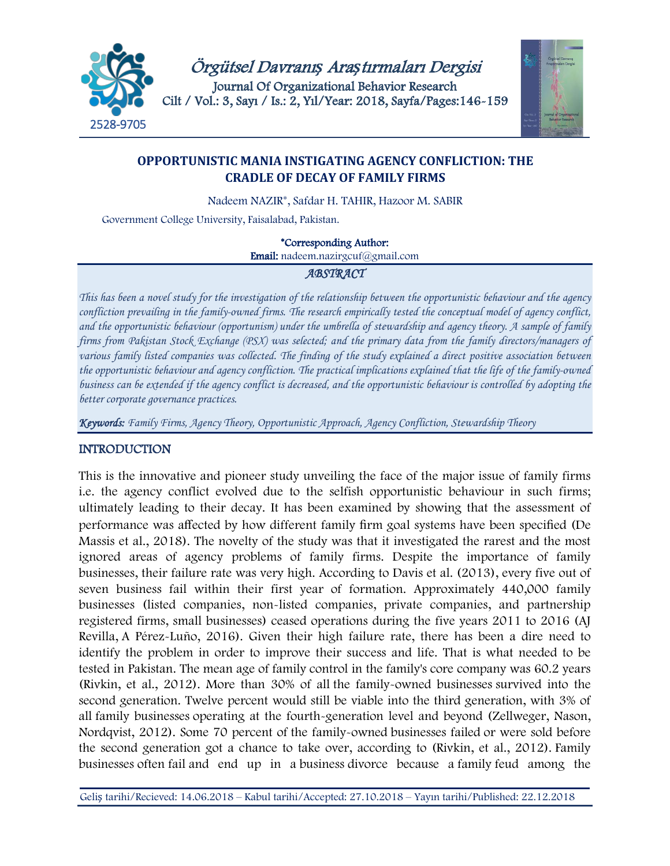



# **OPPORTUNISTIC MANIA INSTIGATING AGENCY CONFLICTION: THE CRADLE OF DECAY OF FAMILY FIRMS**

Nadeem NAZIR\*, Safdar H. TAHIR, Hazoor M. SABIR

Government College University, Faisalabad, Pakistan.

\*Corresponding Author:

Email: nadeem.nazirgcuf@gmail.com

# *ABSTRACT*

*This has been a novel study for the investigation of the relationship between the opportunistic behaviour and the agency confliction prevailing in the family-owned firms. The research empirically tested the conceptual model of agency conflict, and the opportunistic behaviour (opportunism) under the umbrella of stewardship and agency theory. A sample of family firms from Pakistan Stock Exchange (PSX) was selected; and the primary data from the family directors/managers of various family listed companies was collected. The finding of the study explained a direct positive association between the opportunistic behaviour and agency confliction. The practical implications explained that the life of the family-owned business can be extended if the agency conflict is decreased, and the opportunistic behaviour is controlled by adopting the better corporate governance practices.*

*Keywords: Family Firms, Agency Theory, Opportunistic Approach, Agency Confliction, Stewardship Theory*

# **INTRODUCTION**

This is the innovative and pioneer study unveiling the face of the major issue of family firms i.e. the agency conflict evolved due to the selfish opportunistic behaviour in such firms; ultimately leading to their decay. It has been examined by showing that the assessment of performance was affected by how different family firm goal systems have been specified (De Massis et al., 2018). The novelty of the study was that it investigated the rarest and the most ignored areas of agency problems of family firms. Despite the importance of family businesses, their failure rate was very high. According to Davis et al. (2013), every five out of seven business fail within their first year of formation. Approximately 440,000 family businesses (listed companies, non-listed companies, private companies, and partnership registered firms, small businesses) ceased operations during the five years 2011 to 2016 (AJ Revilla, [A](https://scholar.google.com.pk/citations?user=g8LMkWMAAAAJ&hl=en&oi=sra) Pérez-Luño, 2016). Given their high failure rate, there has been a dire need to identify the problem in order to improve their success and life. That is what needed to be tested in Pakistan. The mean age of family control in the family's core company was 60.2 years (Rivkin, et al., 2012). More than 30% of all the family-owned businesses survived into the second generation. Twelve percent would still be viable into the third generation, with 3% of all family businesses operating at the fourth-generation level and beyond (Zellweger, Nason, Nordqvist, 2012). Some 70 percent of the family-owned businesses failed or were sold before the second generation got a chance to take over, according to (Rivkin, et al., 2012). Family businesses often fail and end up in a business divorce because a family feud among the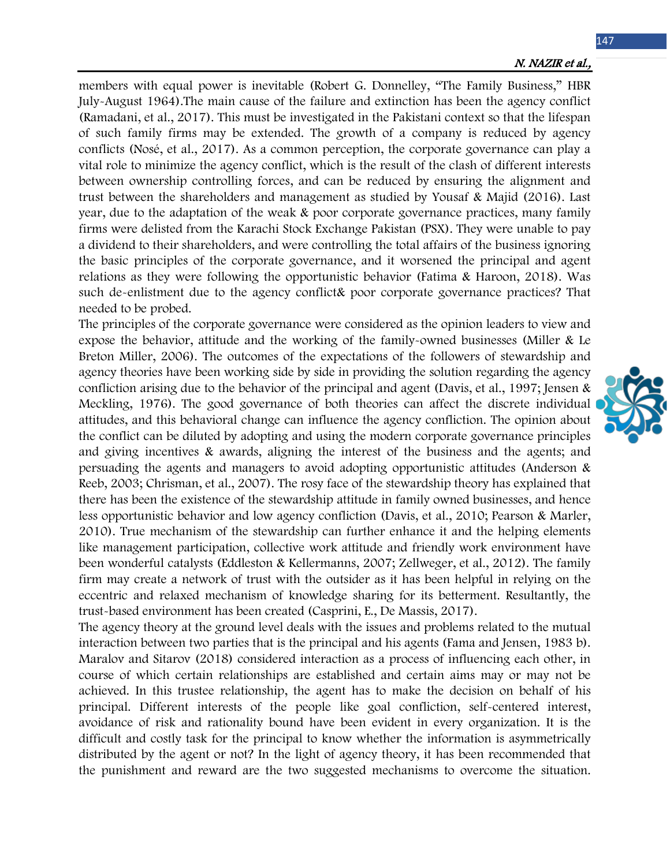147

members with equal power is inevitable (Robert G. Donnelley, "The Family Business," HBR July-August 1964).The main cause of the failure and extinction has been the agency conflict [\(Ramadani,](https://scholar.google.com.pk/citations?user=ryz1oVsAAAAJ&hl=en&oi=sra) et al., 2017). This must be investigated in the Pakistani context so that the lifespan of such family firms may be extended. The growth of a company is reduced by agency conflicts (Nosé, et al., 2017). As a common perception, the corporate governance can play a vital role to minimize the agency conflict, which is the result of the clash of different interests between ownership controlling forces, and can be reduced by ensuring the alignment and trust between the shareholders and management as studied by Yousaf & Majid (2016). Last year, due to the adaptation of the weak & poor corporate governance practices, many family firms were delisted from the Karachi Stock Exchange Pakistan (PSX). They were unable to pay a dividend to their shareholders, and were controlling the total affairs of the business ignoring the basic principles of the corporate governance, and it worsened the principal and agent relations as they were following the opportunistic behavior (Fatima & Haroon, 2018). Was such de-enlistment due to the agency conflict& poor corporate governance practices? That needed to be probed.

The principles of the corporate governance were considered as the opinion leaders to view and expose the behavior, attitude and the working of the family-owned businesses (Miller & Le Breton Miller, 2006). The outcomes of the expectations of the followers of stewardship and agency theories have been working side by side in providing the solution regarding the agency confliction arising due to the behavior of the principal and agent (Davis, et al., 1997; Jensen & Meckling, 1976). The good governance of both theories can affect the discrete individual attitudes, and this behavioral change can influence the agency confliction. The opinion about the conflict can be diluted by adopting and using the modern corporate governance principles and giving incentives & awards, aligning the interest of the business and the agents; and persuading the agents and managers to avoid adopting opportunistic attitudes (Anderson & Reeb, 2003; Chrisman, et al., 2007). The rosy face of the stewardship theory has explained that there has been the existence of the stewardship attitude in family owned businesses, and hence less opportunistic behavior and low agency confliction (Davis, et al., 2010; Pearson & Marler, 2010). True mechanism of the stewardship can further enhance it and the helping elements like management participation, collective work attitude and friendly work environment have been wonderful catalysts (Eddleston & Kellermanns, 2007; Zellweger, et al., 2012). The family firm may create a network of trust with the outsider as it has been helpful in relying on the eccentric and relaxed mechanism of knowledge sharing for its betterment. Resultantly, the trust-based environment has been created (Casprini, E., De Massis, 2017).

The agency theory at the ground level deals with the issues and problems related to the mutual interaction between two parties that is the principal and his agents (Fama and Jensen, 1983 b). Maralov and Sitarov (2018) considered interaction as a process of influencing each other, in course of which certain relationships are established and certain aims may or may not be achieved. In this trustee relationship, the agent has to make the decision on behalf of his principal. Different interests of the people like goal confliction, self-centered interest, avoidance of risk and rationality bound have been evident in every organization. It is the difficult and costly task for the principal to know whether the information is asymmetrically distributed by the agent or not? In the light of agency theory, it has been recommended that the punishment and reward are the two suggested mechanisms to overcome the situation.

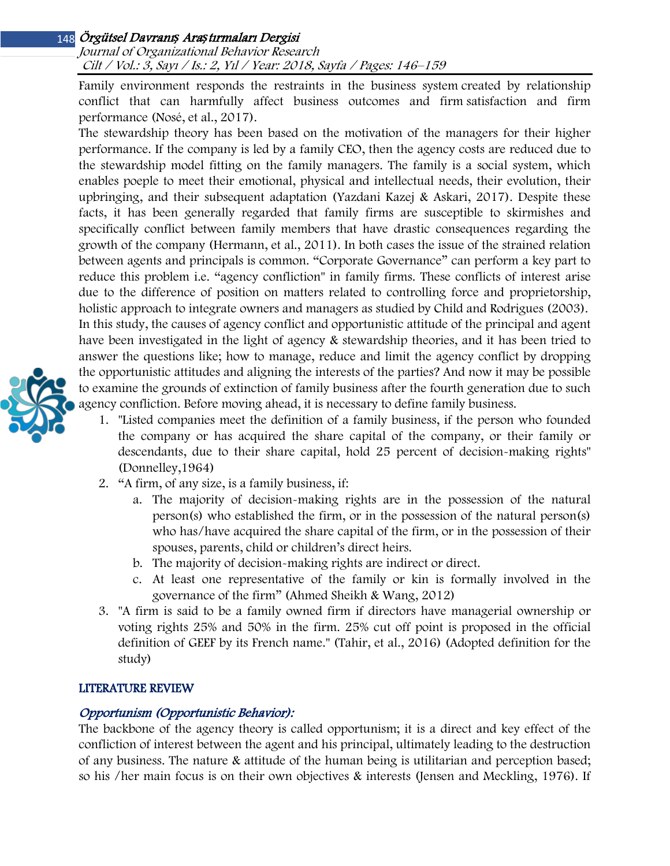Journal of Organizational Behavior Research Cilt / Vol.: 3, Sayı / Is.: 2, Yıl / Year: 2018, Sayfa / Pages: 146–159

Family environment responds the restraints in the business system created by relationship conflict that can harmfully affect business outcomes and firm satisfaction and firm performance (Nosé, et al., 2017).

The stewardship theory has been based on the motivation of the managers for their higher performance. If the company is led by a family CEO, then the agency costs are reduced due to the stewardship model fitting on the family managers. The family is a social system, which enables poeple to meet their emotional, physical and intellectual needs, their evolution, their upbringing, and their subsequent adaptation (Yazdani Kazej & Askari, 2017). Despite these facts, it has been generally regarded that family firms are susceptible to skirmishes and specifically conflict between family members that have drastic consequences regarding the growth of the company (Hermann, et al., 2011). In both cases the issue of the strained relation between agents and principals is common. "Corporate Governance" can perform a key part to reduce this problem i.e. "agency confliction" in family firms. These conflicts of interest arise due to the difference of position on matters related to controlling force and proprietorship, holistic approach to integrate owners and managers as studied by Child and Rodrigues (2003). In this study, the causes of agency conflict and opportunistic attitude of the principal and agent have been investigated in the light of agency & stewardship theories, and it has been tried to answer the questions like; how to manage, reduce and limit the agency conflict by dropping the opportunistic attitudes and aligning the interests of the parties? And now it may be possible to examine the grounds of extinction of family business after the fourth generation due to such agency confliction. Before moving ahead, it is necessary to define family business.



- 1. "Listed companies meet the definition of a family business, if the person who founded the company or has acquired the share capital of the company, or their family or descendants, due to their share capital, hold 25 percent of decision-making rights" (Donnelley,1964)
- 2. "A firm, of any size, is a family business, if:
	- a. The majority of decision-making rights are in the possession of the natural person(s) who established the firm, or in the possession of the natural person(s) who has/have acquired the share capital of the firm, or in the possession of their spouses, parents, child or children's direct heirs.
	- b. The majority of decision-making rights are indirect or direct.
	- c. At least one representative of the family or kin is formally involved in the governance of the firm" (Ahmed Sheikh & Wang, 2012)
- 3. "A firm is said to be a family owned firm if directors have managerial ownership or voting rights 25% and 50% in the firm. 25% cut off point is proposed in the official definition of GEEF by its French name." (Tahir, et al., 2016) (Adopted definition for the study)

# LITERATURE REVIEW

# Opportunism (Opportunistic Behavior):

The backbone of the agency theory is called opportunism; it is a direct and key effect of the confliction of interest between the agent and his principal, ultimately leading to the destruction of any business. The nature & attitude of the human being is utilitarian and perception based; so his /her main focus is on their own objectives & interests (Jensen and Meckling, 1976). If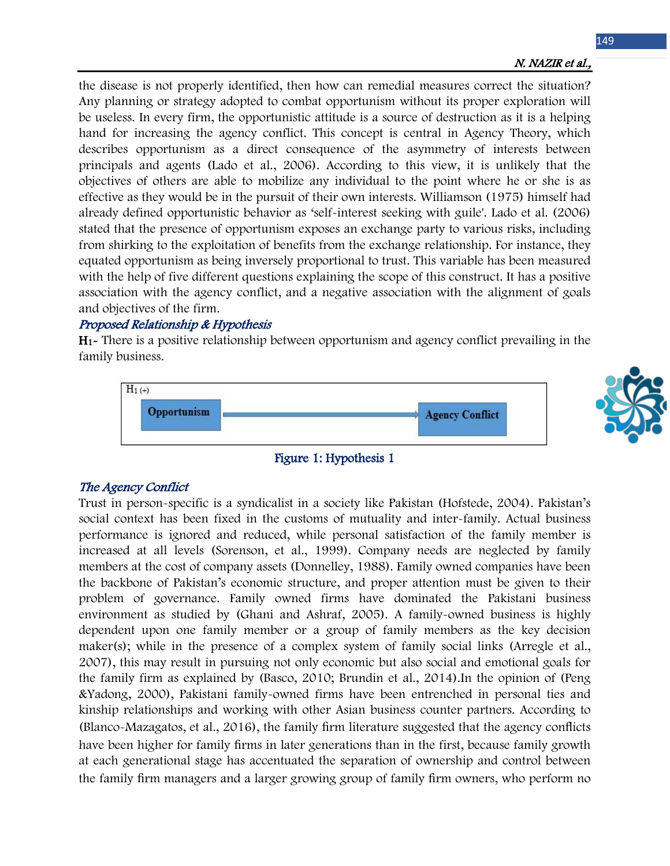the disease is not properly identified, then how can remedial measures correct the situation? Any planning or strategy adopted to combat opportunism without its proper exploration will be useless. In every firm, the opportunistic attitude is a source of destruction as it is a helping hand for increasing the agency conflict. This concept is central in Agency Theory, which describes opportunism as a direct consequence of the asymmetry of interests between principals and agents (Lado et al., 2006). According to this view, it is unlikely that the objectives of others are able to mobilize any individual to the point where he or she is as effective as they would be in the pursuit of their own interests. Williamson (1975) himself had already defined opportunistic behavior as 'self-interest seeking with guile'. Lado et al. (2006) stated that the presence of opportunism exposes an exchange party to various risks, including from shirking to the exploitation of benefits from the exchange relationship. For instance, they equated opportunism as being inversely proportional to trust. This variable has been measured with the help of five different questions explaining the scope of this construct. It has a positive association with the agency conflict, and a negative association with the alignment of goals and objectives of the firm.

## Proposed Relationship & Hypothesis

H1- There is a positive relationship between opportunism and agency conflict prevailing in the family business.





## Figure 1: Hypothesis 1

## The Agency Conflict

Trust in person-specific is a syndicalist in a society like Pakistan (Hofstede, 2004). Pakistan's social context has been fixed in the customs of mutuality and inter-family. Actual business performance is ignored and reduced, while personal satisfaction of the family member is increased at all levels (Sorenson, et al., 1999). Company needs are neglected by family members at the cost of company assets (Donnelley, 1988). Family owned companies have been the backbone of Pakistan's economic structure, and proper attention must be given to their problem of governance. Family owned firms have dominated the Pakistani business environment as studied by (Ghani and Ashraf, 2005). A family-owned business is highly dependent upon one family member or a group of family members as the key decision maker(s); while in the presence of a complex system of family social links (Arregle et al., 2007), this may result in pursuing not only economic but also social and emotional goals for the family firm as explained by (Basco, 2010; Brundin et al., 2014).In the opinion of (Peng &Yadong, 2000), Pakistani family-owned firms have been entrenched in personal ties and kinship relationships and working with other Asian business counter partners. According to (Blanco-Mazagatos, et al., 2016), the family firm literature suggested that the agency conflicts have been higher for family firms in later generations than in the first, because family growth at each generational stage has accentuated the separation of ownership and control between the family firm managers and a larger growing group of family firm owners, who perform no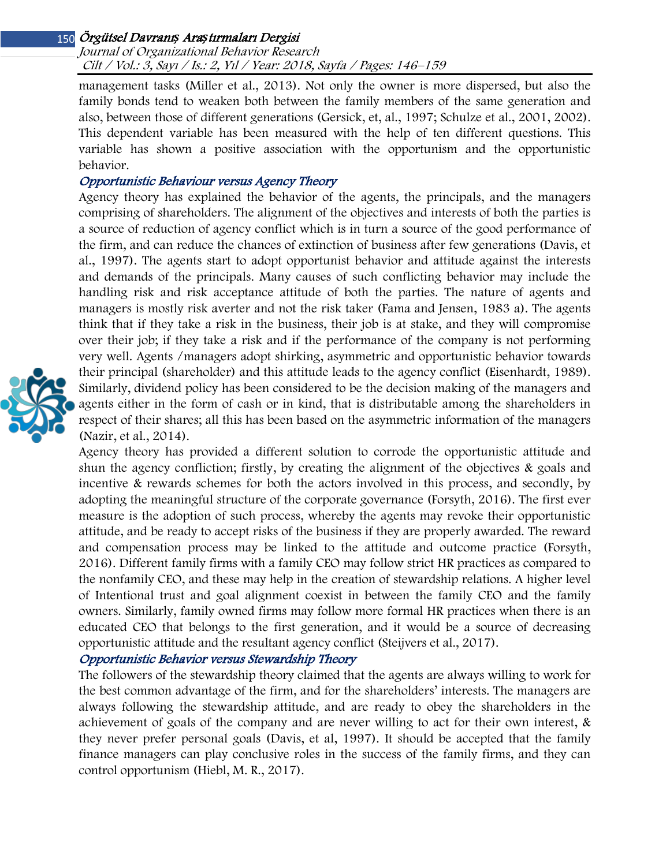Journal of Organizational Behavior Research Cilt / Vol.: 3, Sayı / Is.: 2, Yıl / Year: 2018, Sayfa / Pages: 146–159

management tasks (Miller et al., 2013). Not only the owner is more dispersed, but also the family bonds tend to weaken both between the family members of the same generation and also, between those of different generations (Gersick, et, al., 1997; Schulze et al., 2001, 2002). This dependent variable has been measured with the help of ten different questions. This variable has shown a positive association with the opportunism and the opportunistic behavior.

## Opportunistic Behaviour versus Agency Theory

Agency theory has explained the behavior of the agents, the principals, and the managers comprising of shareholders. The alignment of the objectives and interests of both the parties is a source of reduction of agency conflict which is in turn a source of the good performance of the firm, and can reduce the chances of extinction of business after few generations (Davis, et al., 1997). The agents start to adopt opportunist behavior and attitude against the interests and demands of the principals. Many causes of such conflicting behavior may include the handling risk and risk acceptance attitude of both the parties. The nature of agents and managers is mostly risk averter and not the risk taker (Fama and Jensen, 1983 a). The agents think that if they take a risk in the business, their job is at stake, and they will compromise over their job; if they take a risk and if the performance of the company is not performing very well. Agents /managers adopt shirking, asymmetric and opportunistic behavior towards their principal (shareholder) and this attitude leads to the agency conflict (Eisenhardt, 1989). Similarly, dividend policy has been considered to be the decision making of the managers and agents either in the form of cash or in kind, that is distributable among the shareholders in respect of their shares; all this has been based on the asymmetric information of the managers (Nazir, et al., 2014).



Agency theory has provided a different solution to corrode the opportunistic attitude and shun the agency confliction; firstly, by creating the alignment of the objectives & goals and incentive & rewards schemes for both the actors involved in this process, and secondly, by adopting the meaningful structure of the corporate governance (Forsyth, 2016). The first ever measure is the adoption of such process, whereby the agents may revoke their opportunistic attitude, and be ready to accept risks of the business if they are properly awarded. The reward and compensation process may be linked to the attitude and outcome practice (Forsyth, 2016). Different family firms with a family CEO may follow strict HR practices as compared to the nonfamily CEO, and these may help in the creation of stewardship relations. A higher level of Intentional trust and goal alignment coexist in between the family CEO and the family owners. Similarly, family owned firms may follow more formal HR practices when there is an educated CEO that belongs to the first generation, and it would be a source of decreasing opportunistic attitude and the resultant agency conflict (Steijvers et al., 2017).

## Opportunistic Behavior versus Stewardship Theory

The followers of the stewardship theory claimed that the agents are always willing to work for the best common advantage of the firm, and for the shareholders' interests. The managers are always following the stewardship attitude, and are ready to obey the shareholders in the achievement of goals of the company and are never willing to act for their own interest, & they never prefer personal goals (Davis, et al, 1997). It should be accepted that the family finance managers can play conclusive roles in the success of the family firms, and they can control opportunism (Hiebl, M. R., 2017).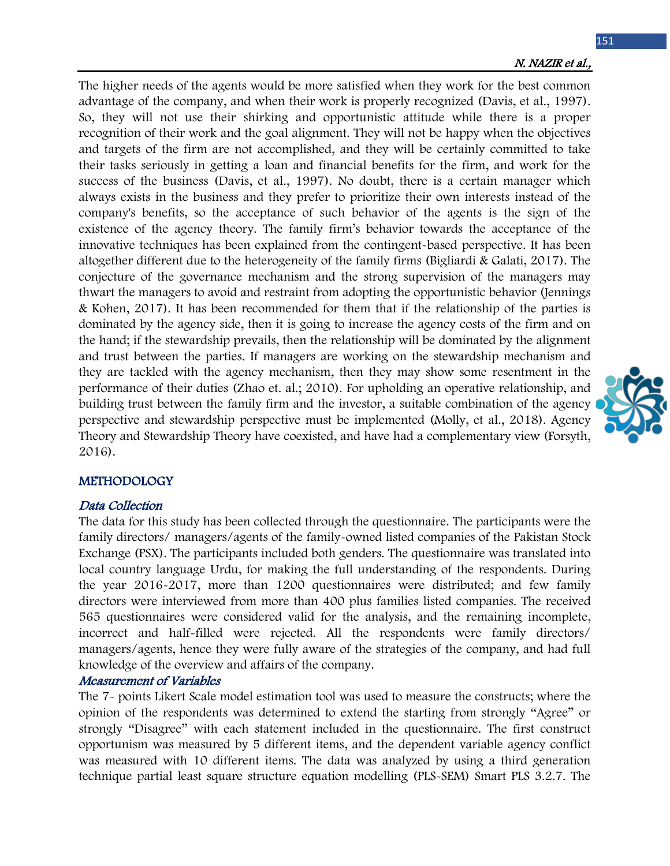151

The higher needs of the agents would be more satisfied when they work for the best common advantage of the company, and when their work is properly recognized (Davis, et al., 1997). So, they will not use their shirking and opportunistic attitude while there is a proper recognition of their work and the goal alignment. They will not be happy when the objectives and targets of the firm are not accomplished, and they will be certainly committed to take their tasks seriously in getting a loan and financial benefits for the firm, and work for the success of the business (Davis, et al., 1997). No doubt, there is a certain manager which always exists in the business and they prefer to prioritize their own interests instead of the company's benefits, so the acceptance of such behavior of the agents is the sign of the existence of the agency theory. The family firm's behavior towards the acceptance of the innovative techniques has been explained from the contingent-based perspective. It has been altogether different due to the heterogeneity of the family firms (Bigliardi & Galati, 2017). The conjecture of the governance mechanism and the strong supervision of the managers may thwart the managers to avoid and restraint from adopting the opportunistic behavior (Jennings & Kohen, 2017). It has been recommended for them that if the relationship of the parties is dominated by the agency side, then it is going to increase the agency costs of the firm and on the hand; if the stewardship prevails, then the relationship will be dominated by the alignment and trust between the parties. If managers are working on the stewardship mechanism and they are tackled with the agency mechanism, then they may show some resentment in the performance of their duties (Zhao et. al.; 2010). For upholding an operative relationship, and building trust between the family firm and the investor, a suitable combination of the agency perspective and stewardship perspective must be implemented (Molly, et al., 2018). Agency Theory and Stewardship Theory have coexisted, and have had a complementary view (Forsyth, 2016).



## METHODOLOGY

#### Data Collection

The data for this study has been collected through the questionnaire. The participants were the family directors/ managers/agents of the family-owned listed companies of the Pakistan Stock Exchange (PSX). The participants included both genders. The questionnaire was translated into local country language Urdu, for making the full understanding of the respondents. During the year 2016-2017, more than 1200 questionnaires were distributed; and few family directors were interviewed from more than 400 plus families listed companies. The received 565 questionnaires were considered valid for the analysis, and the remaining incomplete, incorrect and half-filled were rejected. All the respondents were family directors/ managers/agents, hence they were fully aware of the strategies of the company, and had full knowledge of the overview and affairs of the company.

#### Measurement of Variables

The 7- points Likert Scale model estimation tool was used to measure the constructs; where the opinion of the respondents was determined to extend the starting from strongly "Agree" or strongly "Disagree" with each statement included in the questionnaire. The first construct opportunism was measured by 5 different items, and the dependent variable agency conflict was measured with 10 different items. The data was analyzed by using a third generation technique partial least square structure equation modelling (PLS-SEM) Smart PLS 3.2.7. The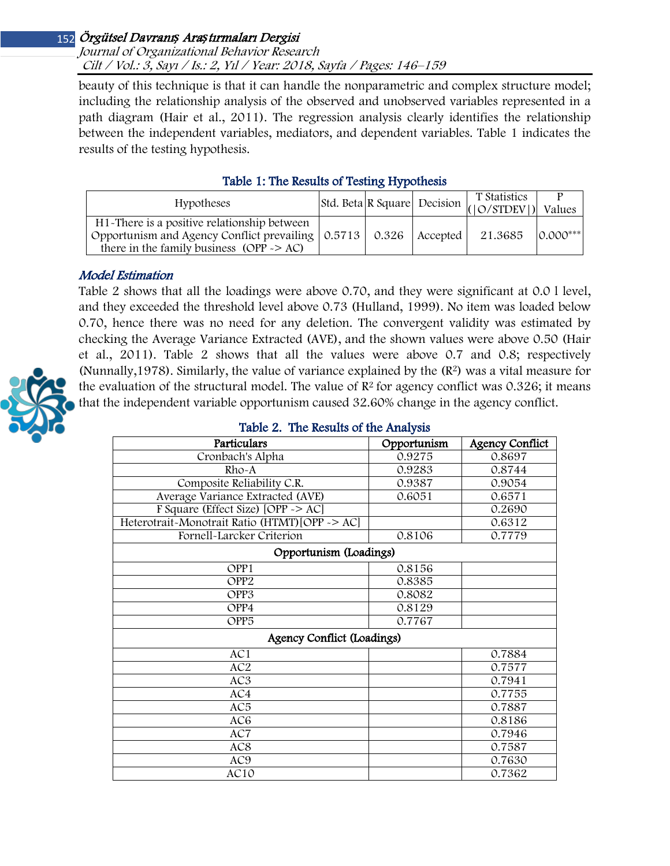## Journal of Organizational Behavior Research Cilt / Vol.: 3, Sayı / Is.: 2, Yıl / Year: 2018, Sayfa / Pages: 146–159

beauty of this technique is that it can handle the nonparametric and complex structure model; including the relationship analysis of the observed and unobserved variables represented in a path diagram (Hair et al., 2011). The regression analysis clearly identifies the relationship between the independent variables, mediators, and dependent variables. Table 1 indicates the results of the testing hypothesis.

| TWELE 1: THE REGIMED OF TEGRITS IT FOURTED                            |  |  |          |              |             |
|-----------------------------------------------------------------------|--|--|----------|--------------|-------------|
| <b>Hypotheses</b>                                                     |  |  |          | T Statistics |             |
|                                                                       |  |  |          |              | Values      |
| H <sub>1</sub> -There is a positive relationship between              |  |  |          |              |             |
| Opportunism and Agency Conflict prevailing $\vert 0.5713 \vert 0.326$ |  |  | Accepted | 21.3685      | $10.000***$ |
| there in the family business ( $OPP \ge AC$ )                         |  |  |          |              |             |

# Table 1: The Results of Testing Hypothesis

# Model Estimation

Table 2 shows that all the loadings were above 0.70, and they were significant at 0.0 l level, and they exceeded the threshold level above 0.73 (Hulland, 1999). No item was loaded below 0.70, hence there was no need for any deletion. The convergent validity was estimated by checking the Average Variance Extracted (AVE), and the shown values were above 0.50 (Hair et al., 2011). Table 2 shows that all the values were above 0.7 and 0.8; respectively (Nunnally,1978). Similarly, the value of variance explained by the (R2) was a vital measure for the evaluation of the structural model. The value of  $\mathbb{R}^2$  for agency conflict was 0.326; it means that the independent variable opportunism caused 32.60% change in the agency conflict.



## Table 2. The Results of the Analysis

| Particulars                                    | Opportunism | <b>Agency Conflict</b> |  |  |  |
|------------------------------------------------|-------------|------------------------|--|--|--|
| Cronbach's Alpha                               | 0.9275      | 0.8697                 |  |  |  |
| Rho-A                                          | 0.9283      | 0.8744                 |  |  |  |
| Composite Reliability C.R.                     | 0.9387      | 0.9054                 |  |  |  |
| Average Variance Extracted (AVE)               | 0.6051      | 0.6571                 |  |  |  |
| F Square (Effect Size) [OPP ~> AC]             |             | 0.2690                 |  |  |  |
| Heterotrait-Monotrait Ratio (HTMT) [OPP -> AC] |             | 0.6312                 |  |  |  |
| Fornell-Larcker Criterion                      | 0.8106      | 0.7779                 |  |  |  |
| Opportunism (Loadings)                         |             |                        |  |  |  |
| OPP1                                           | 0.8156      |                        |  |  |  |
| OPP <sub>2</sub>                               | 0.8385      |                        |  |  |  |
| OPP3                                           | 0.8082      |                        |  |  |  |
| OPP4                                           | 0.8129      |                        |  |  |  |
| OPP <sub>5</sub>                               | 0.7767      |                        |  |  |  |
| Agency Conflict (Loadings)                     |             |                        |  |  |  |
| AC1                                            |             | 0.7884                 |  |  |  |
| AC <sub>2</sub>                                |             | 0.7577                 |  |  |  |
| AC3                                            |             | 0.7941                 |  |  |  |
| AC4                                            |             | 0.7755                 |  |  |  |
| AC <sub>5</sub>                                |             | 0.7887                 |  |  |  |
| AC <sub>6</sub>                                |             | 0.8186                 |  |  |  |
| AC7                                            |             | 0.7946                 |  |  |  |
| AC8                                            |             | 0.7587                 |  |  |  |
| AC9                                            |             | 0.7630                 |  |  |  |
| AC10                                           |             | 0.7362                 |  |  |  |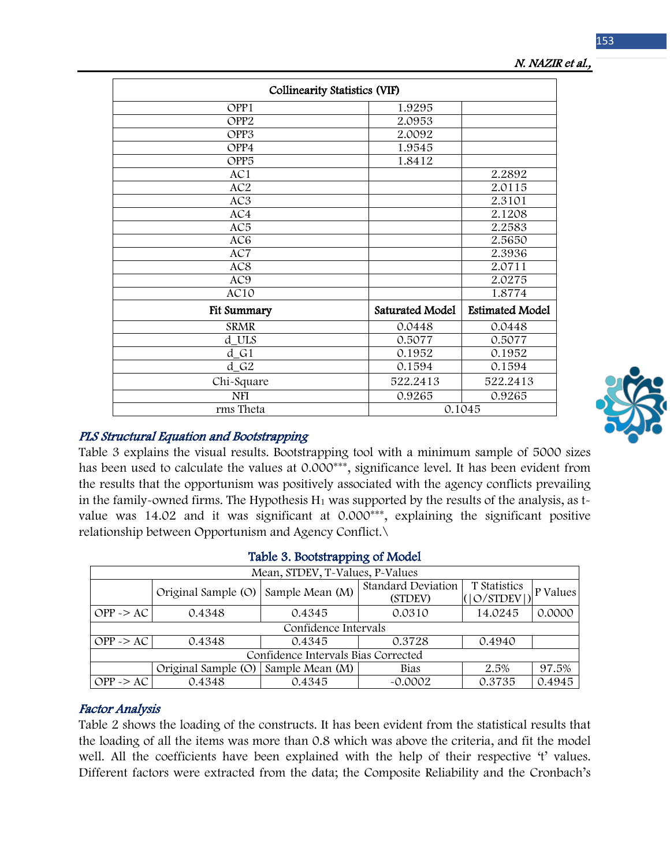| <b>Collinearity Statistics (VIF)</b> |                 |                        |  |
|--------------------------------------|-----------------|------------------------|--|
| OPP1                                 | 1.9295          |                        |  |
| OPP <sub>2</sub>                     | 2.0953          |                        |  |
| OPP3                                 | 2.0092          |                        |  |
| OPP4                                 | 1.9545          |                        |  |
| OPP <sub>5</sub>                     | 1.8412          |                        |  |
| AC1                                  |                 | 2.2892                 |  |
| AC <sub>2</sub>                      |                 | 2.0115                 |  |
| AC3                                  |                 | 2.3101                 |  |
| AC4                                  |                 | 2.1208                 |  |
| AC <sub>5</sub>                      |                 | 2.2583                 |  |
| AC <sub>6</sub>                      |                 | 2.5650                 |  |
| AC7                                  |                 | 2.3936                 |  |
| AC8                                  |                 | 2.0711                 |  |
| AC9                                  |                 | 2.0275                 |  |
| AC10                                 |                 | 1.8774                 |  |
| Fit Summary                          | Saturated Model | <b>Estimated Model</b> |  |
| <b>SRMR</b>                          | 0.0448          | 0.0448                 |  |
| d_ULS                                | 0.5077          | 0.5077                 |  |
| $d_G1$                               | 0.1952          | 0.1952                 |  |
| $d_G2$                               | 0.1594          | 0.1594                 |  |
| Chi-Square                           | 522.2413        | 522.2413               |  |
| <b>NFI</b>                           | 0.9265          | 0.9265                 |  |
| rms Theta                            | 0.1045          |                        |  |

## N. NAZIR et al.,



## PLS Structural Equation and Bootstrapping

Table 3 explains the visual results. Bootstrapping tool with a minimum sample of 5000 sizes has been used to calculate the values at 0.000\*\*\*, significance level. It has been evident from the results that the opportunism was positively associated with the agency conflicts prevailing in the family-owned firms. The Hypothesis  $H_1$  was supported by the results of the analysis, as tvalue was 14.02 and it was significant at 0.000\*\*\*, explaining the significant positive relationship between Opportunism and Agency Conflict.\

| Mean, STDEV, T-Values, P-Values     |                                     |                 |                                      |                             |          |  |
|-------------------------------------|-------------------------------------|-----------------|--------------------------------------|-----------------------------|----------|--|
|                                     | Original Sample (O) Sample Mean (M) |                 | <b>Standard Deviation</b><br>(STDEV) | T Statistics<br>( O/STDEV ) | P Values |  |
| $OPP \ge AC$                        | 0.4348                              | 0.4345          | 0.0310                               | 14.0245                     | 0.0000   |  |
| Confidence Intervals                |                                     |                 |                                      |                             |          |  |
| $OPP \ge AC$                        | 0.4348                              | 0.4345          | 0.3728                               | 0.4940                      |          |  |
| Confidence Intervals Bias Corrected |                                     |                 |                                      |                             |          |  |
|                                     | Original Sample (O)                 | Sample Mean (M) | Bias                                 | 2.5%                        | 97.5%    |  |
| $OPP \ge AC$                        | 0.4348                              | 0.4345          | $-0.0002$                            | 0.3735                      | 0.4945   |  |

#### Table 3. Bootstrapping of Model

## Factor Analysis

Table 2 shows the loading of the constructs. It has been evident from the statistical results that the loading of all the items was more than 0.8 which was above the criteria, and fit the model well. All the coefficients have been explained with the help of their respective 't' values. Different factors were extracted from the data; the Composite Reliability and the Cronbach's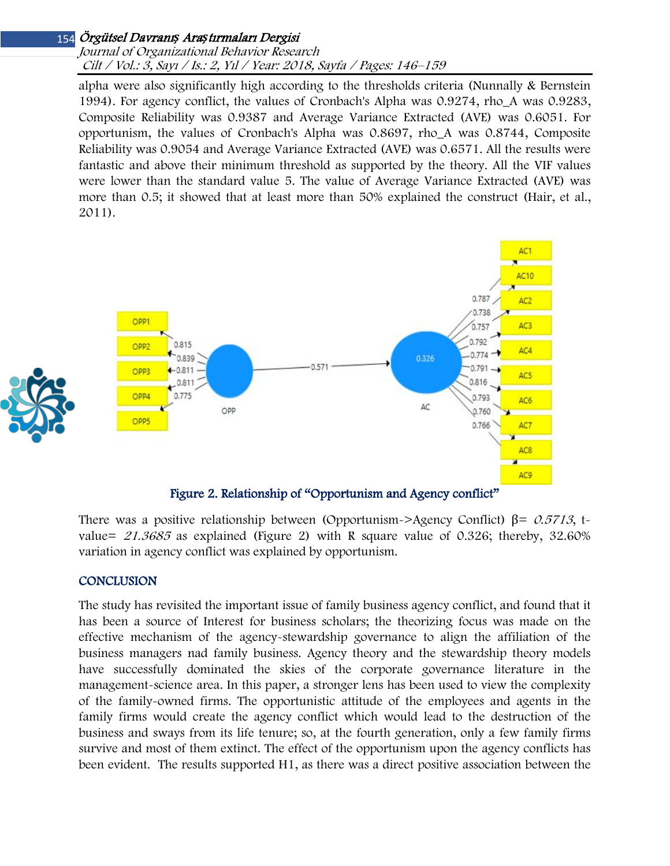#### Journal of Organizational Behavior Research Cilt / Vol.: 3, Sayı / Is.: 2, Yıl / Year: 2018, Sayfa / Pages: 146–159

alpha were also significantly high according to the thresholds criteria (Nunnally & Bernstein 1994). For agency conflict, the values of Cronbach's Alpha was 0.9274, rho\_A was 0.9283, Composite Reliability was 0.9387 and Average Variance Extracted (AVE) was 0.6051. For opportunism, the values of Cronbach's Alpha was 0.8697, rho\_A was 0.8744, Composite Reliability was 0.9054 and Average Variance Extracted (AVE) was 0.6571. All the results were fantastic and above their minimum threshold as supported by the theory. All the VIF values were lower than the standard value 5. The value of Average Variance Extracted (AVE) was more than 0.5; it showed that at least more than 50% explained the construct (Hair, et al., 2011).



There was a positive relationship between (Opportunism->Agency Conflict)  $\beta = 0.5713$ , tvalue=  $21.3685$  as explained (Figure 2) with R square value of 0.326; thereby, 32.60% variation in agency conflict was explained by opportunism.

## **CONCLUSION**

The study has revisited the important issue of family business agency conflict, and found that it has been a source of Interest for business scholars; the theorizing focus was made on the effective mechanism of the agency-stewardship governance to align the affiliation of the business managers nad family business. Agency theory and the stewardship theory models have successfully dominated the skies of the corporate governance literature in the management-science area. In this paper, a stronger lens has been used to view the complexity of the family-owned firms. The opportunistic attitude of the employees and agents in the family firms would create the agency conflict which would lead to the destruction of the business and sways from its life tenure; so, at the fourth generation, only a few family firms survive and most of them extinct. The effect of the opportunism upon the agency conflicts has been evident. The results supported H1, as there was a direct positive association between the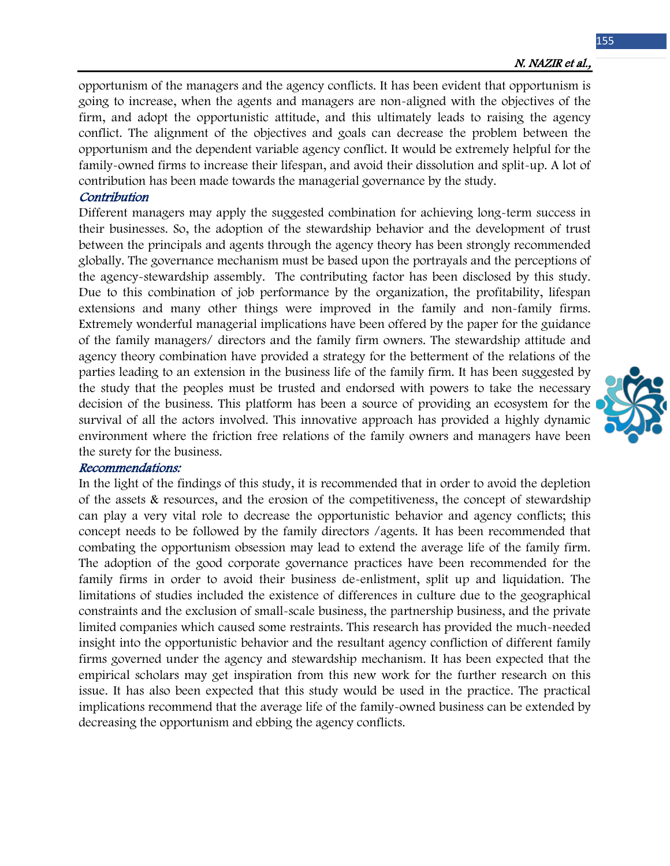opportunism of the managers and the agency conflicts. It has been evident that opportunism is going to increase, when the agents and managers are non-aligned with the objectives of the firm, and adopt the opportunistic attitude, and this ultimately leads to raising the agency conflict. The alignment of the objectives and goals can decrease the problem between the opportunism and the dependent variable agency conflict. It would be extremely helpful for the family-owned firms to increase their lifespan, and avoid their dissolution and split-up. A lot of contribution has been made towards the managerial governance by the study.

#### **Contribution**

Different managers may apply the suggested combination for achieving long-term success in their businesses. So, the adoption of the stewardship behavior and the development of trust between the principals and agents through the agency theory has been strongly recommended globally. The governance mechanism must be based upon the portrayals and the perceptions of the agency-stewardship assembly. The contributing factor has been disclosed by this study. Due to this combination of job performance by the organization, the profitability, lifespan extensions and many other things were improved in the family and non-family firms. Extremely wonderful managerial implications have been offered by the paper for the guidance of the family managers/ directors and the family firm owners. The stewardship attitude and agency theory combination have provided a strategy for the betterment of the relations of the parties leading to an extension in the business life of the family firm. It has been suggested by the study that the peoples must be trusted and endorsed with powers to take the necessary decision of the business. This platform has been a source of providing an ecosystem for the survival of all the actors involved. This innovative approach has provided a highly dynamic environment where the friction free relations of the family owners and managers have been the surety for the business.

#### Recommendations:

In the light of the findings of this study, it is recommended that in order to avoid the depletion of the assets & resources, and the erosion of the competitiveness, the concept of stewardship can play a very vital role to decrease the opportunistic behavior and agency conflicts; this concept needs to be followed by the family directors /agents. It has been recommended that combating the opportunism obsession may lead to extend the average life of the family firm. The adoption of the good corporate governance practices have been recommended for the family firms in order to avoid their business de-enlistment, split up and liquidation. The limitations of studies included the existence of differences in culture due to the geographical constraints and the exclusion of small-scale business, the partnership business, and the private limited companies which caused some restraints. This research has provided the much-needed insight into the opportunistic behavior and the resultant agency confliction of different family firms governed under the agency and stewardship mechanism. It has been expected that the empirical scholars may get inspiration from this new work for the further research on this issue. It has also been expected that this study would be used in the practice. The practical implications recommend that the average life of the family-owned business can be extended by decreasing the opportunism and ebbing the agency conflicts.

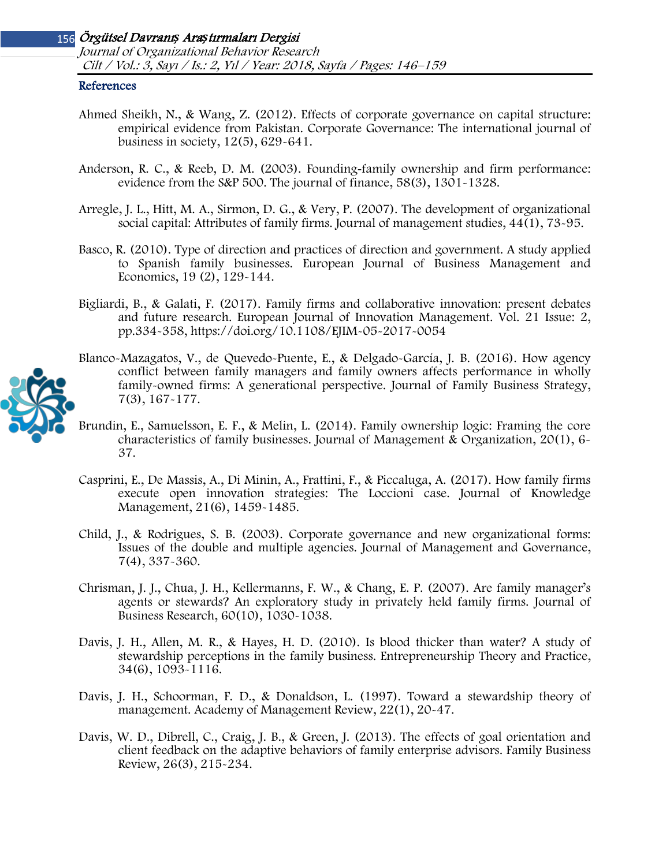#### Örgütsel Davranı*ş* Ara*ş*tırmaları Dergisi 156 Journal of Organizational Behavior Research Cilt / Vol.: 3, Sayı / Is.: 2, Yıl / Year: 2018, Sayfa / Pages: 146–159

#### References

- Ahmed Sheikh, N., & Wang, Z. (2012). Effects of corporate governance on capital structure: empirical evidence from Pakistan. Corporate Governance: The international journal of business in society, 12(5), 629-641.
- Anderson, R. C., & Reeb, D. M. (2003). Founding-family ownership and firm performance: evidence from the S&P 500. The journal of finance, 58(3), 1301-1328.
- Arregle, J. L., Hitt, M. A., Sirmon, D. G., & Very, P. (2007). The development of organizational social capital: Attributes of family firms. Journal of management studies, 44(1), 73-95.
- Basco, R. (2010). Type of direction and practices of direction and government. A study applied to Spanish family businesses. European Journal of Business Management and Economics, 19 (2), 129-144.
- Bigliardi, B., & Galati, F. (2017). Family firms and collaborative innovation: present debates and future research. European Journal of Innovation Management. Vol. 21 Issue: 2, pp.334-358, https://doi.org/10.1108/EJIM-05-2017-0054
- Blanco-Mazagatos, V., de Quevedo-Puente, E., & Delgado-García, J. B. (2016). How agency conflict between family managers and family owners affects performance in wholly family-owned firms: A generational perspective. Journal of Family Business Strategy, 7(3), 167-177.
- Brundin, E., Samuelsson, E. F., & Melin, L. (2014). Family ownership logic: Framing the core characteristics of family businesses. Journal of Management & Organization, 20(1), 6- 37.
- Casprini, E., De Massis, A., Di Minin, A., Frattini, F., & Piccaluga, A. (2017). How family firms execute open innovation strategies: The Loccioni case. Journal of Knowledge Management, 21(6), 1459-1485.
- Child, J., & Rodrigues, S. B. (2003). Corporate governance and new organizational forms: Issues of the double and multiple agencies. Journal of Management and Governance, 7(4), 337-360.
- Chrisman, J. J., Chua, J. H., Kellermanns, F. W., & Chang, E. P. (2007). Are family manager's agents or stewards? An exploratory study in privately held family firms. Journal of Business Research, 60(10), 1030-1038.
- Davis, J. H., Allen, M. R., & Hayes, H. D. (2010). Is blood thicker than water? A study of stewardship perceptions in the family business. Entrepreneurship Theory and Practice, 34(6), 1093-1116.
- Davis, J. H., Schoorman, F. D., & Donaldson, L. (1997). Toward a stewardship theory of management. Academy of Management Review, 22(1), 20-47.
- Davis, W. D., Dibrell, C., Craig, J. B., & Green, J. (2013). The effects of goal orientation and client feedback on the adaptive behaviors of family enterprise advisors. Family Business Review, 26(3), 215-234.

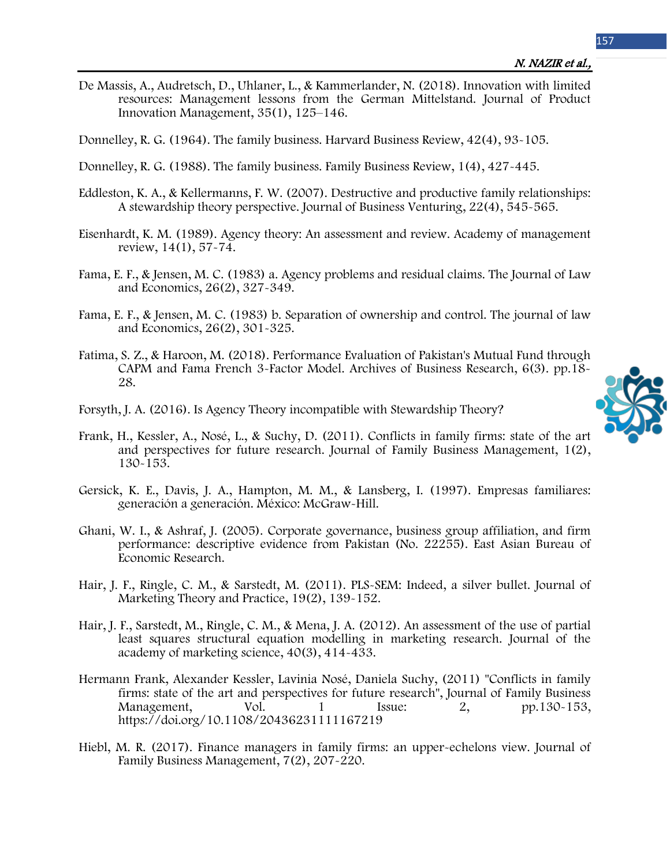De Massis, A., Audretsch, D., Uhlaner, L., & Kammerlander, N. (2018). Innovation with limited resources: Management lessons from the German Mittelstand. Journal of Product Innovation Management, 35(1), 125–146.

Donnelley, R. G. (1964). The family business. Harvard Business Review, 42(4), 93-105.

- Donnelley, R. G. (1988). The family business. Family Business Review, 1(4), 427-445.
- Eddleston, K. A., & Kellermanns, F. W. (2007). Destructive and productive family relationships: A stewardship theory perspective. Journal of Business Venturing, 22(4), 545-565.
- Eisenhardt, K. M. (1989). Agency theory: An assessment and review. Academy of management review, 14(1), 57-74.
- Fama, E. F., & Jensen, M. C. (1983) a. Agency problems and residual claims. The Journal of Law and Economics, 26(2), 327-349.
- Fama, E. F., & Jensen, M. C. (1983) b. Separation of ownership and control. The journal of law and Economics, 26(2), 301-325.
- Fatima, S. Z., & Haroon, M. (2018). Performance Evaluation of Pakistan's Mutual Fund through CAPM and Fama French 3-Factor Model. Archives of Business Research, 6(3). pp.18- 28.
- Forsyth, J. A. (2016). Is Agency Theory incompatible with Stewardship Theory?
- Frank, H., Kessler, A., Nosé, L., & Suchy, D. (2011). Conflicts in family firms: state of the art and perspectives for future research. Journal of Family Business Management, 1(2), 130-153.
- Gersick, K. E., Davis, J. A., Hampton, M. M., & Lansberg, I. (1997). Empresas familiares: generación a generación. México: McGraw-Hill.
- Ghani, W. I., & Ashraf, J. (2005). Corporate governance, business group affiliation, and firm performance: descriptive evidence from Pakistan (No. 22255). East Asian Bureau of Economic Research.
- Hair, J. F., Ringle, C. M., & Sarstedt, M. (2011). PLS-SEM: Indeed, a silver bullet. Journal of Marketing Theory and Practice, 19(2), 139-152.
- Hair, J. F., Sarstedt, M., Ringle, C. M., & Mena, J. A. (2012). An assessment of the use of partial least squares structural equation modelling in marketing research. Journal of the academy of marketing science, 40(3), 414-433.
- Hermann Frank, Alexander Kessler, Lavinia Nosé, Daniela Suchy, (2011) "Conflicts in family firms: state of the art and perspectives for future research", Journal of Family Business Management, Vol. 1 Issue: 2, pp.130-153, https://doi.org/10.1108/20436231111167219
- Hiebl, M. R. (2017). Finance managers in family firms: an upper-echelons view. Journal of Family Business Management, 7(2), 207-220.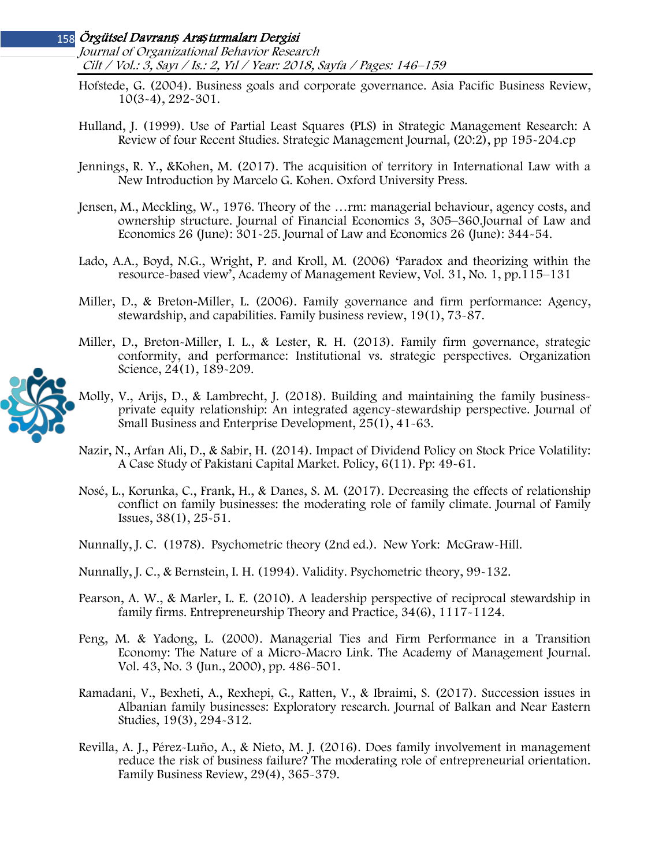Journal of Organizational Behavior Research Cilt / Vol.: 3, Sayı / Is.: 2, Yıl / Year: 2018, Sayfa / Pages: 146–159

- Hofstede, G. (2004). Business goals and corporate governance. Asia Pacific Business Review, 10(3-4), 292-301.
- Hulland, J. (1999). Use of Partial Least Squares (PLS) in Strategic Management Research: A Review of four Recent Studies. Strategic Management Journal, (20:2), pp 195-204.cp
- Jennings, R. Y., &Kohen, M. (2017). The acquisition of territory in International Law with a New Introduction by Marcelo G. Kohen. Oxford University Press.
- Jensen, M., Meckling, W., 1976. Theory of the …rm: managerial behaviour, agency costs, and ownership structure. Journal of Financial Economics 3, 305–360.Journal of Law and Economics 26 (June): 301-25. Journal of Law and Economics 26 (June): 344-54.
- Lado, A.A., Boyd, N.G., Wright, P. and Kroll, M. (2006) 'Paradox and theorizing within the resource-based view', Academy of Management Review, Vol. 31, No. 1, pp.115–131
- Miller, D., & Breton-Miller, L. (2006). Family governance and firm performance: Agency, stewardship, and capabilities. Family business review, 19(1), 73-87.
- Miller, D., Breton-Miller, I. L., & Lester, R. H. (2013). Family firm governance, strategic conformity, and performance: Institutional vs. strategic perspectives. Organization Science, 24(1), 189-209.



- Molly, V., Arijs, D., & Lambrecht, J. (2018). Building and maintaining the family businessprivate equity relationship: An integrated agency-stewardship perspective. Journal of Small Business and Enterprise Development, 25(1), 41-63.
- Nazir, N., Arfan Ali, D., & Sabir, H. (2014). Impact of Dividend Policy on Stock Price Volatility: A Case Study of Pakistani Capital Market. Policy, 6(11). Pp: 49-61.
- Nosé, L., Korunka, C., Frank, H., & Danes, S. M. (2017). Decreasing the effects of relationship conflict on family businesses: the moderating role of family climate. Journal of Family Issues, 38(1), 25-51.
- Nunnally, J. C. (1978). Psychometric theory (2nd ed.). New York: McGraw-Hill.
- Nunnally, J. C., & Bernstein, I. H. (1994). Validity. Psychometric theory, 99-132.
- Pearson, A. W., & Marler, L. E. (2010). A leadership perspective of reciprocal stewardship in family firms. Entrepreneurship Theory and Practice, 34(6), 1117-1124.
- Peng, M. & Yadong, L. (2000). Managerial Ties and Firm Performance in a Transition Economy: The Nature of a Micro-Macro Link. The Academy of Management Journal. Vol. 43, No. 3 (Jun., 2000), pp. 486-501.
- Ramadani, V., Bexheti, A., Rexhepi, G., Ratten, V., & Ibraimi, S. (2017). Succession issues in Albanian family businesses: Exploratory research. Journal of Balkan and Near Eastern Studies, 19(3), 294-312.
- Revilla, A. J., Pérez-Luño, A., & Nieto, M. J. (2016). Does family involvement in management reduce the risk of business failure? The moderating role of entrepreneurial orientation. Family Business Review, 29(4), 365-379.